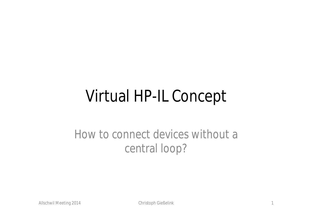## Virtual HP-IL Concept

### How to connect devices without a central loop?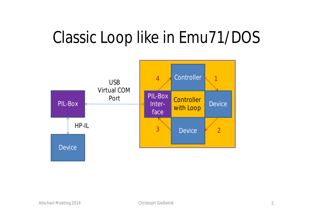## Classic Loop like in Emu71/DOS

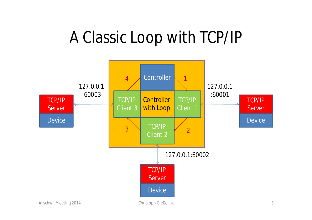## A Classic Loop with TCP/IP

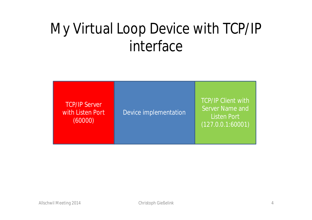## My Virtual Loop Device with TCP/IP interface

TCP/IP Server with Listen Port (60000)

Device implementation

TCP/IP Client with Server Name and Listen Port (127.0.0.1:60001)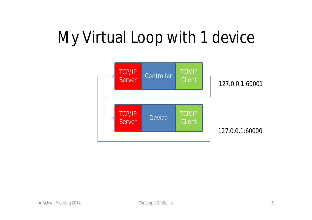# My Virtual Loop with 1 device

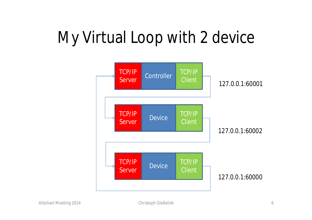# My Virtual Loop with 2 device